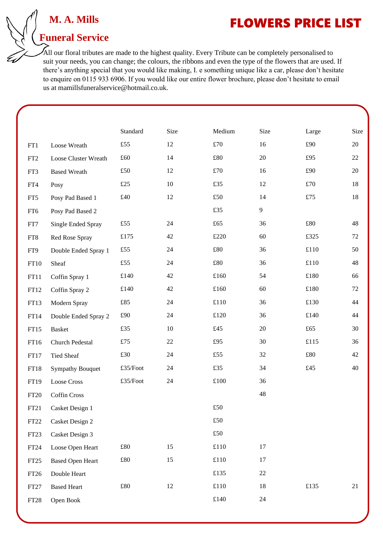## **M. A. Mills**

## FLOWERS PRICE LIST

## **Funeral Service**

All our floral tributes are made to the highest quality. Every Tribute can be completely personalised to suit your needs, you can change; the colours, the ribbons and even the type of the flowers that are used. If there's anything special that you would like making, I. e something unique like a car, please don't hesitate to enquire on 0115 933 6906. If you would like our entire flower brochure, please don't hesitate to email us at mamillsfuneralservice@hotmail.co.uk.

|                  |                         | Standard    | Size   | Medium       | Size           | Large        | Size   |
|------------------|-------------------------|-------------|--------|--------------|----------------|--------------|--------|
| FT1              | Loose Wreath            | £55         | 12     | $\pounds 70$ | 16             | £90          | 20     |
| FT2              | Loose Cluster Wreath    | £60         | 14     | $\pounds80$  | $20\,$         | £95          | 22     |
| FT3              | <b>Based Wreath</b>     | £50         | 12     | $\pounds 70$ | 16             | £90          | 20     |
| FT4              | Posy                    | £25         | 10     | £35          | 12             | £70          | 18     |
| FT5              | Posy Pad Based 1        | £40         | 12     | £50          | 14             | £75          | 18     |
| FT6              | Posy Pad Based 2        |             |        | £35          | $\overline{9}$ |              |        |
| ${\rm FT}7$      | Single Ended Spray      | £55         | 24     | £65          | 36             | £80          | 48     |
| FT8              | Red Rose Spray          | £175        | 42     | £220         | 60             | £325         | 72     |
| FT9              | Double Ended Spray 1    | £55         | 24     | $\pounds80$  | 36             | £110         | 50     |
| FT10             | Sheaf                   | £55         | 24     | $\pounds80$  | 36             | £110         | 48     |
| FT11             | Coffin Spray 1          | £140        | 42     | £160         | 54             | £180         | 66     |
| FT12             | Coffin Spray 2          | £140        | 42     | £160         | 60             | $\pounds180$ | 72     |
| FT13             | Modern Spray            | $\pounds85$ | 24     | £110         | 36             | £130         | 44     |
| FT14             | Double Ended Spray 2    | £90         | 24     | £120         | 36             | £140         | 44     |
| FT15             | <b>Basket</b>           | £35         | 10     | £45          | 20             | £65          | 30     |
| FT16             | Church Pedestal         | $\pounds75$ | $22\,$ | £95          | 30             | £115         | 36     |
| FT17             | <b>Tied Sheaf</b>       | £30         | 24     | £55          | 32             | £80          | 42     |
| FT18             | <b>Sympathy Bouquet</b> | £35/Foot    | 24     | £35          | 34             | £45          | 40     |
| FT19             | Loose Cross             | £35/Foot    | 24     | $\pounds100$ | 36             |              |        |
| FT20             | <b>Coffin Cross</b>     |             |        |              | 48             |              |        |
| FT <sub>21</sub> | Casket Design 1         |             |        | $\pounds 50$ |                |              |        |
| ${\rm FT}22$     | Casket Design 2         |             |        | $\pounds 50$ |                |              |        |
| FT <sub>23</sub> | Casket Design 3         |             |        | $\pounds 50$ |                |              |        |
| FT24             | Loose Open Heart        | $\pounds80$ | 15     | $\pounds110$ | 17             |              |        |
| FT25             | <b>Based Open Heart</b> | $\pounds80$ | 15     | $\pounds110$ | 17             |              |        |
| FT <sub>26</sub> | Double Heart            |             |        | £135         | $22\,$         |              |        |
| FT <sub>27</sub> | <b>Based Heart</b>      | $\pounds80$ | 12     | $\pounds110$ | 18             | £135         | $21\,$ |
| FT28             | Open Book               |             |        | $\pounds140$ | 24             |              |        |
|                  |                         |             |        |              |                |              |        |